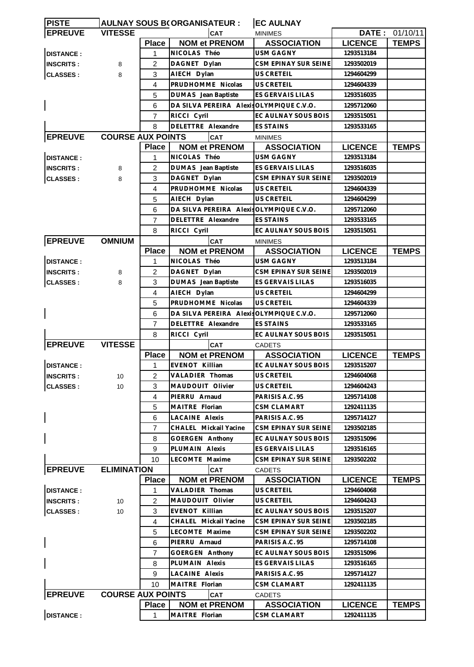| <b>PISTE</b>     |                          |                | AULNAY SOUS B(ORGANISATEUR :             | <b>EC AULNAY</b>                        |                |                       |
|------------------|--------------------------|----------------|------------------------------------------|-----------------------------------------|----------------|-----------------------|
| <b>EPREUVE</b>   | <b>VITESSE</b>           |                | CAT                                      | <b>MINIMES</b>                          |                | <b>DATE: 01/10/11</b> |
|                  |                          | <b>Place</b>   | <b>NOM et PRENOM</b>                     | <b>ASSOCIATION</b>                      | <b>LICENCE</b> | <b>TEMPS</b>          |
| <b>DISTANCE:</b> |                          | 1              | NICOLAS Théo                             | <b>USM GAGNY</b>                        | 1293513184     |                       |
| <b>INSCRITS:</b> | 8                        | 2              | DAGNET Dylan                             | CSM EPINAY SUR SEINE                    | 1293502019     |                       |
| <b>CLASSES:</b>  | 8                        | 3              | AIECH Dylan                              | US CRETEIL                              | 1294604299     |                       |
|                  |                          | 4              | PRUDHOMME Nicolas                        | <b>US CRETEIL</b>                       | 1294604339     |                       |
|                  |                          | 5              | DUMAS Jean Baptiste                      | ES GERVAIS LILAS                        | 1293516035     |                       |
|                  |                          | 6              | DA SILVA PEREIRA Alexis OLYMPIQUE C.V.O. |                                         | 1295712060     |                       |
|                  |                          | 7              | RICCI Cyril                              | EC AULNAY SOUS BOIS                     | 1293515051     |                       |
|                  |                          | 8              | <b>DELETTRE Alexandre</b>                | <b>ES STAINS</b>                        | 1293533165     |                       |
| <b>EPREUVE</b>   | <b>COURSE AUX POINTS</b> |                | CAT                                      | <b>MINIMES</b>                          |                |                       |
|                  |                          | <b>Place</b>   | <b>NOM et PRENOM</b>                     | <b>ASSOCIATION</b>                      | <b>LICENCE</b> | <b>TEMPS</b>          |
| <b>DISTANCE:</b> |                          | 1              | NICOLAS Théo                             | <b>USM GAGNY</b>                        | 1293513184     |                       |
| <b>INSCRITS:</b> | 8                        | 2              | DUMAS Jean Baptiste                      | ES GERVAIS LILAS                        | 1293516035     |                       |
| <b>CLASSES:</b>  | 8                        | 3              | DAGNET Dylan                             | CSM EPINAY SUR SEINE                    | 1293502019     |                       |
|                  |                          | $\overline{4}$ | PRUDHOMME Nicolas                        | US CRETEIL                              | 1294604339     |                       |
|                  |                          | 5              | AIECH Dylan                              | <b>US CRETEIL</b>                       | 1294604299     |                       |
|                  |                          | 6              | DA SILVA PEREIRA Alexis OLYMPIQUE C.V.O. |                                         | 1295712060     |                       |
|                  |                          | 7              | DELETTRE Alexandre                       | <b>ES STAINS</b>                        | 1293533165     |                       |
|                  |                          | 8              |                                          | EC AULNAY SOUS BOIS                     | 1293515051     |                       |
|                  |                          |                | RICCI Cyril                              |                                         |                |                       |
| <b>EPREUVE</b>   | <b>OMNIUM</b>            |                | <b>CAT</b><br><b>NOM et PRENOM</b>       | <b>MINIMES</b>                          |                |                       |
|                  |                          | <b>Place</b>   |                                          | <b>ASSOCIATION</b>                      | <b>LICENCE</b> | <b>TEMPS</b>          |
| <b>DISTANCE:</b> |                          | 1              | NICOLAS Théo                             | USM GAGNY                               | 1293513184     |                       |
| <b>INSCRITS:</b> | 8                        | $\overline{2}$ | DAGNET Dylan                             | CSM EPINAY SUR SEINE                    | 1293502019     |                       |
| <b>CLASSES:</b>  | 8                        | 3              | DUMAS Jean Baptiste                      | ES GERVAIS LILAS                        | 1293516035     |                       |
|                  |                          | $\overline{4}$ | AIECH Dylan                              | <b>US CRETEIL</b>                       | 1294604299     |                       |
|                  |                          | 5              | PRUDHOMME Nicolas                        | <b>US CRETEIL</b>                       | 1294604339     |                       |
|                  |                          | 6              | DA SILVA PEREIRA Alexis OLYMPIQUE C.V.O. |                                         | 1295712060     |                       |
|                  |                          | 7              | DELETTRE Alexandre                       | <b>ES STAINS</b>                        | 1293533165     |                       |
|                  |                          | 8              | RICCI Cyril                              | EC AULNAY SOUS BOIS                     | 1293515051     |                       |
| <b>EPREUVE</b>   | <b>VITESSE</b>           |                | <b>CAT</b>                               | <b>CADETS</b>                           |                |                       |
|                  |                          | <b>Place</b>   | <b>NOM et PRENOM</b>                     | <b>ASSOCIATION</b>                      | <b>LICENCE</b> | <b>TEMPS</b>          |
| <b>DISTANCE:</b> |                          | $\mathbf{1}$   | EVENOT Killian                           | EC AULNAY SOUS BOIS                     | 1293515207     |                       |
| <b>INSCRITS:</b> | 10                       | $\overline{2}$ | VALADIER Thomas                          | US CRETEIL                              | 1294604068     |                       |
| <b>CLASSES:</b>  | 10                       | 3              | MAUDOUIT Olivier                         | US CRETEIL                              | 1294604243     |                       |
|                  |                          | 4              | PIERRU Arnaud                            | PARISIS A.C. 95                         | 1295714108     |                       |
|                  |                          | 5              | MAITRE Florian                           | CSM CLAMART                             | 1292411135     |                       |
|                  |                          | 6              | <b>LACAINE Alexis</b>                    | PARISIS A.C. 95                         | 1295714127     |                       |
|                  |                          | 7              | CHALEL Mickail Yacine                    | CSM EPINAY SUR SEINE                    | 1293502185     |                       |
|                  |                          | 8              | <b>GOERGEN Anthony</b>                   | EC AULNAY SOUS BOIS                     | 1293515096     |                       |
|                  |                          | 9              | PLUMAIN Alexis                           | ES GERVAIS LILAS                        | 1293516165     |                       |
|                  |                          | 10             | LECOMTE Maxime                           | CSM EPINAY SUR SEINE                    | 1293502202     |                       |
| <b>EPREUVE</b>   | <b>ELIMINATION</b>       |                | <b>CAT</b>                               | <b>CADETS</b>                           |                |                       |
|                  |                          | <b>Place</b>   | <b>NOM et PRENOM</b>                     | <b>ASSOCIATION</b>                      | <b>LICENCE</b> | <b>TEMPS</b>          |
| <b>DISTANCE:</b> |                          | 1              | VALADIER Thomas                          | US CRETEIL                              | 1294604068     |                       |
| <b>INSCRITS:</b> | 10                       | $\overline{2}$ | MAUDOUIT Olivier                         | US CRETEIL                              | 1294604243     |                       |
| <b>CLASSES:</b>  | 10                       | 3              | EVENOT Killian                           | EC AULNAY SOUS BOIS                     | 1293515207     |                       |
|                  |                          | 4              | CHALEL Mickail Yacine                    | CSM EPINAY SUR SEINE                    | 1293502185     |                       |
|                  |                          |                | LECOMTE Maxime                           |                                         | 1293502202     |                       |
|                  |                          | 5              | PIERRU Arnaud                            | CSM EPINAY SUR SEINE<br>PARISIS A.C. 95 |                |                       |
|                  |                          | 6              |                                          |                                         | 1295714108     |                       |
|                  |                          | 7              | GOERGEN Anthony                          | EC AULNAY SOUS BOIS                     | 1293515096     |                       |
|                  |                          | 8              | PLUMAIN Alexis                           | ES GERVAIS LILAS                        | 1293516165     |                       |
|                  |                          | 9              | <b>LACAINE Alexis</b>                    | PARISIS A.C. 95                         | 1295714127     |                       |
|                  |                          | 10             | MAITRE Florian                           | CSM CLAMART                             | 1292411135     |                       |
| <b>EPREUVE</b>   | <b>COURSE AUX POINTS</b> |                | <b>CAT</b>                               | CADETS                                  |                |                       |
|                  |                          | <b>Place</b>   | <b>NOM et PRENOM</b>                     | <b>ASSOCIATION</b>                      | <b>LICENCE</b> | <b>TEMPS</b>          |
| <b>DISTANCE:</b> |                          | 1              | MAITRE Florian                           | CSM CLAMART                             | 1292411135     |                       |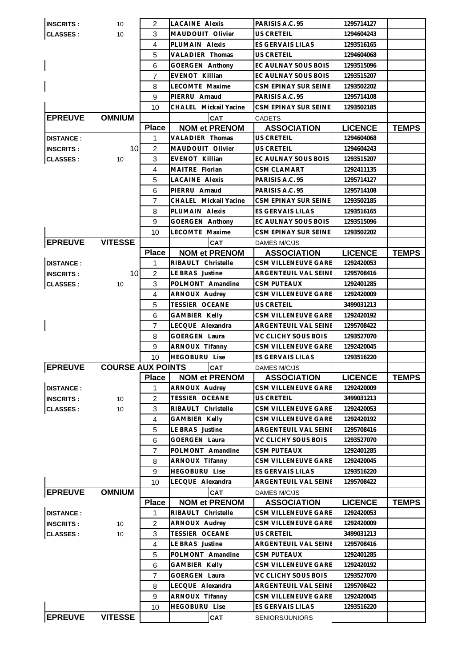| <b>INSCRITS:</b> | 10                       | 2              | <b>LACAINE Alexis</b>                 | PARISIS A.C. 95                    | 1295714127     |              |
|------------------|--------------------------|----------------|---------------------------------------|------------------------------------|----------------|--------------|
| <b>CLASSES:</b>  | 10                       | 3              | MAUDOUIT Olivier                      | US CRETEIL                         | 1294604243     |              |
|                  |                          | 4              | PLUMAIN Alexis                        | ES GERVAIS LILAS                   | 1293516165     |              |
|                  |                          | 5              | <b>VALADIER Thomas</b>                | US CRETEIL                         | 1294604068     |              |
|                  |                          | 6              | GOERGEN Anthony                       | EC AULNAY SOUS BOIS                | 1293515096     |              |
|                  |                          | $\overline{7}$ | EVENOT Killian                        | EC AULNAY SOUS BOIS                | 1293515207     |              |
|                  |                          | 8              | LECOMTE Maxime                        | CSM EPINAY SUR SEINE               | 1293502202     |              |
|                  |                          | 9              | PIERRU Arnaud                         | PARISIS A.C. 95                    | 1295714108     |              |
|                  |                          | 10             | CHALEL Mickail Yacine                 | CSM EPINAY SUR SEINE               | 1293502185     |              |
| <b>EPREUVE</b>   | <b>OMNIUM</b>            |                | CAT                                   | <b>CADETS</b>                      |                |              |
|                  |                          | <b>Place</b>   | <b>NOM et PRENOM</b>                  | <b>ASSOCIATION</b>                 | <b>LICENCE</b> | <b>TEMPS</b> |
| <b>DISTANCE:</b> |                          | 1              | <b>VALADIER Thomas</b>                | US CRETEIL                         | 1294604068     |              |
| <b>INSCRITS:</b> | 10                       | $\overline{c}$ | MAUDOUIT Olivier                      | US CRETEIL                         | 1294604243     |              |
| <b>CLASSES:</b>  | 10                       | 3              | EVENOT Killian                        | EC AULNAY SOUS BOIS                | 1293515207     |              |
|                  |                          | 4              | MAITRE Florian                        | <b>CSM CLAMART</b>                 | 1292411135     |              |
|                  |                          | 5              | <b>LACAINE Alexis</b>                 | PARISIS A.C. 95                    | 1295714127     |              |
|                  |                          | 6              | PIERRU Arnaud                         | PARISIS A.C. 95                    | 1295714108     |              |
|                  |                          | 7              | CHALEL Mickail Yacine                 | CSM EPINAY SUR SEINE               | 1293502185     |              |
|                  |                          | 8              | PLUMAIN Alexis                        | <b>ES GERVAIS LILAS</b>            | 1293516165     |              |
|                  |                          | 9              | <b>GOERGEN Anthony</b>                | EC AULNAY SOUS BOIS                | 1293515096     |              |
|                  |                          | 10             | LECOMTE Maxime                        | CSM EPINAY SUR SEINE               | 1293502202     |              |
| <b>EPREUVE</b>   | <b>VITESSE</b>           |                | <b>CAT</b>                            | DAMES M/C/JS                       |                |              |
|                  |                          | <b>Place</b>   | <b>NOM et PRENOM</b>                  | <b>ASSOCIATION</b>                 | <b>LICENCE</b> | <b>TEMPS</b> |
| <b>DISTANCE:</b> |                          | 1              | RIBAULT Christelle                    | CSM VILLENEUVE GARE                | 1292420053     |              |
| <b>INSCRITS:</b> | 10                       | $\overline{c}$ | LE BRAS Justine                       | ARGENTEUIL VAL SEINE               | 1295708416     |              |
| <b>CLASSES:</b>  | 10                       | 3              | POLMONT Amandine                      | <b>CSM PUTEAUX</b>                 | 1292401285     |              |
|                  |                          | 4              | ARNOUX Audrey                         | CSM VILLENEUVE GARE                | 1292420009     |              |
|                  |                          | 5              | <b>TESSIER OCEANE</b>                 | US CRETEIL                         | 3499031213     |              |
|                  |                          | 6              | GAMBIER Kelly                         | CSM VILLENEUVE GARE                | 1292420192     |              |
|                  |                          | 7              | LECQUE Alexandra                      | ARGENTEUIL VAL SEINE               | 1295708422     |              |
|                  |                          | 8              | <b>GOERGEN Laura</b>                  | VC CLICHY SOUS BOIS                | 1293527070     |              |
|                  |                          | 9              | <b>ARNOUX Tifanny</b>                 | CSM VILLENEUVE GARE                | 1292420045     |              |
|                  |                          | 10             | <b>HEGOBURU Lise</b>                  | <b>ES GERVAIS LILAS</b>            | 1293516220     |              |
| <b>EPREUVE</b>   | <b>COURSE AUX POINTS</b> |                | CAT                                   |                                    |                |              |
|                  |                          | <b>Place</b>   |                                       | DAMES M/C/JS<br><b>ASSOCIATION</b> | <b>LICENCE</b> | TEMPS        |
| <b>DISTANCE:</b> |                          | 1              | <b>NOM et PRENOM</b><br>ARNOUX Audrey | CSM VILLENEUVE GARE                | 1292420009     |              |
| <b>INSCRITS:</b> | 10                       | $\overline{c}$ | <b>TESSIER OCEANE</b>                 | US CRETEIL                         | 3499031213     |              |
| <b>CLASSES:</b>  | 10                       | 3              | RIBAULT Christelle                    | CSM VILLENEUVE GARE                | 1292420053     |              |
|                  |                          | $\overline{4}$ | GAMBIER Kelly                         | CSM VILLENEUVE GARE                | 1292420192     |              |
|                  |                          | 5              | LE BRAS Justine                       | ARGENTEUIL VAL SEINE               | 1295708416     |              |
|                  |                          | 6              | <b>GOERGEN Laura</b>                  | VC CLICHY SOUS BOIS                | 1293527070     |              |
|                  |                          | $\overline{7}$ | POLMONT Amandine                      | <b>CSM PUTEAUX</b>                 | 1292401285     |              |
|                  |                          | 8              | ARNOUX Tifanny                        | <b>CSM VILLENEUVE GARE</b>         | 1292420045     |              |
|                  |                          | 9              | <b>HEGOBURU Lise</b>                  | ES GERVAIS LILAS                   | 1293516220     |              |
|                  |                          | 10             | LECQUE Alexandra                      | ARGENTEUIL VAL SEINI               | 1295708422     |              |
| <b>EPREUVE</b>   | <b>OMNIUM</b>            |                | <b>CAT</b>                            |                                    |                |              |
|                  |                          | <b>Place</b>   | <b>NOM et PRENOM</b>                  | DAMES M/C/JS<br><b>ASSOCIATION</b> | <b>LICENCE</b> | <b>TEMPS</b> |
| <b>DISTANCE:</b> |                          | 1              | RIBAULT Christelle                    | CSM VILLENEUVE GARE                | 1292420053     |              |
|                  | 10                       | 2              | ARNOUX Audrey                         | CSM VILLENEUVE GARE                | 1292420009     |              |
| <b>INSCRITS:</b> | 10                       | 3              | TESSIER OCEANE                        | <b>US CRETEIL</b>                  | 3499031213     |              |
| <b>CLASSES:</b>  |                          | 4              | LE BRAS Justine                       | ARGENTEUIL VAL SEINE               | 1295708416     |              |
|                  |                          | 5              | POLMONT Amandine                      | <b>CSM PUTEAUX</b>                 | 1292401285     |              |
|                  |                          | 6              | GAMBIER Kelly                         | CSM VILLENEUVE GARE                | 1292420192     |              |
|                  |                          | 7              | <b>GOERGEN Laura</b>                  | VC CLICHY SOUS BOIS                | 1293527070     |              |
|                  |                          | 8              | LECQUE Alexandra                      | ARGENTEUIL VAL SEINE               | 1295708422     |              |
|                  |                          |                | ARNOUX Tifanny                        | CSM VILLENEUVE GARE                | 1292420045     |              |
|                  |                          | 9              | <b>HEGOBURU Lise</b>                  | ES GERVAIS LILAS                   | 1293516220     |              |
| <b>EPREUVE</b>   | <b>VITESSE</b>           | 10             |                                       |                                    |                |              |
|                  |                          |                | <b>CAT</b>                            | SENIORS/JUNIORS                    |                |              |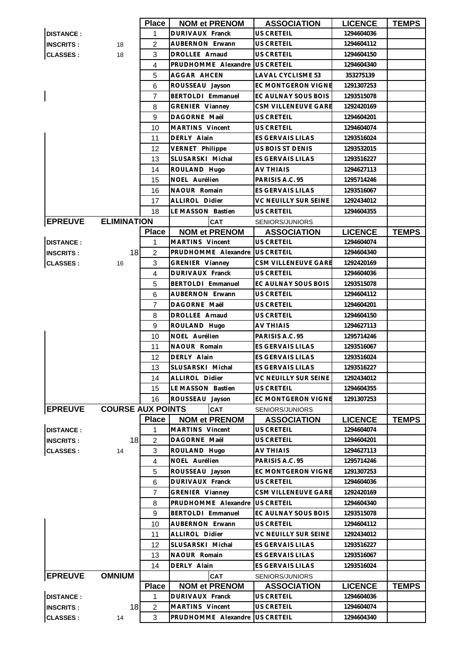|                          |                          | <b>Place</b>   | <b>NOM et PRENOM</b>   | <b>ASSOCIATION</b>          | <b>LICENCE</b>           | <b>TEMPS</b> |
|--------------------------|--------------------------|----------------|------------------------|-----------------------------|--------------------------|--------------|
| <b>DISTANCE:</b>         |                          | 1              | DURIVAUX Franck        | US CRETEIL                  | 1294604036               |              |
| <b>INSCRITS:</b>         | 18                       | $\overline{2}$ | AUBERNON Erwann        | US CRETEIL                  | 1294604112               |              |
| <b>CLASSES:</b><br>18    |                          | 3              | DROLLEE Arnaud         | US CRETEIL                  | 1294604150               |              |
|                          |                          | $\overline{4}$ | PRUDHOMME Alexandre    | <b>US CRETEIL</b>           | 1294604340               |              |
|                          |                          | 5              | AGGAR AHCEN            | LAVAL CYCLISME 53           | 353275139                |              |
|                          |                          | 6              | ROUSSEAU Jayson        | EC MONTGERON VIGNE          | 1291307253               |              |
| $\overline{\phantom{a}}$ |                          | 7              | BERTOLDI Emmanuel      | EC AULNAY SOUS BOIS         | 1293515078               |              |
|                          |                          | 8              | GRENIER Vianney        | CSM VILLENEUVE GARE         | 1292420169               |              |
|                          |                          | 9              | DAGORNE Maël           | US CRETEIL                  | 1294604201               |              |
|                          |                          | 10             | MARTINS Vincent        | <b>US CRETEIL</b>           | 1294604074               |              |
|                          |                          | 11             | DERLY Alain            | ES GERVAIS LILAS            | 1293516024               |              |
|                          |                          | 12             | VERNET Philippe        | US BOIS ST DENIS            | 1293532015               |              |
|                          |                          | 13             | SLUSARSKI Michal       | ES GERVAIS LILAS            | 1293516227               |              |
|                          |                          | 14             | ROULAND Hugo           | AV THIAIS                   | 1294627113               |              |
|                          |                          | 15             | NOEL Aurélien          | PARISIS A.C. 95             | 1295714246               |              |
|                          |                          | 16             | NAOUR Romain           | <b>ES GERVAIS LILAS</b>     | 1293516067               |              |
|                          |                          | 17             | <b>ALLIROL Didier</b>  | <b>VC NEUILLY SUR SEINE</b> | 1292434012               |              |
|                          |                          | 18             | LE MASSON Bastien      | US CRETEIL                  | 1294604355               |              |
| <b>EPREUVE</b>           | <b>ELIMINATION</b>       |                | <b>CAT</b>             | SENIORS/JUNIORS             |                          |              |
|                          |                          | <b>Place</b>   | <b>NOM et PRENOM</b>   | <b>ASSOCIATION</b>          | <b>LICENCE</b>           | <b>TEMPS</b> |
| <b>DISTANCE:</b>         |                          | 1              | MARTINS Vincent        | <b>US CRETEIL</b>           | 1294604074               |              |
|                          | 18                       | $\overline{2}$ | PRUDHOMME Alexandre    | <b>US CRETEIL</b>           | 1294604340               |              |
| <b>INSCRITS:</b>         |                          | 3              | <b>GRENIER Vianney</b> | <b>CSM VILLENEUVE GARE</b>  | 1292420169               |              |
| <b>CLASSES:</b>          | 16                       | $\overline{4}$ | DURIVAUX Franck        | US CRETEIL                  |                          |              |
|                          |                          | 5              | BERTOLDI Emmanuel      | EC AULNAY SOUS BOIS         | 1294604036<br>1293515078 |              |
|                          |                          | 6              | AUBERNON Erwann        | US CRETEIL                  | 1294604112               |              |
|                          |                          | $\overline{7}$ | DAGORNE Maël           | US CRETEIL                  | 1294604201               |              |
|                          |                          | 8              | DROLLEE Arnaud         | US CRETEIL                  | 1294604150               |              |
|                          |                          | 9              | ROULAND Hugo           | AV THIAIS                   | 1294627113               |              |
|                          |                          | 10             | NOEL Aurélien          | PARISIS A.C. 95             | 1295714246               |              |
|                          |                          | 11             | NAOUR Romain           | <b>ES GERVAIS LILAS</b>     | 1293516067               |              |
|                          |                          | 12             | DERLY Alain            | ES GERVAIS LILAS            | 1293516024               |              |
|                          |                          | 13             | SLUSARSKI Michal       | ES GERVAIS LILAS            | 1293516227               |              |
|                          |                          | 14             | <b>ALLIROL Didier</b>  | VC NEUILLY SUR SEINE        | 1292434012               |              |
|                          |                          | 15             | LE MASSON Bastien      | <b>US CRETEIL</b>           | 1294604355               |              |
|                          |                          | 16             | ROUSSEAU Jayson        | EC MONTGERON VIGNE          | 1291307253               |              |
| <b>EPREUVE</b>           | <b>COURSE AUX POINTS</b> |                | <b>CAT</b>             | SENIORS/JUNIORS             |                          |              |
|                          |                          | <b>Place</b>   | <b>NOM et PRENOM</b>   | <b>ASSOCIATION</b>          | <b>LICENCE</b>           | <b>TEMPS</b> |
| <b>DISTANCE:</b>         |                          | 1              | MARTINS Vincent        | US CRETEIL                  | 1294604074               |              |
| <b>INSCRITS:</b>         | 18                       | $\overline{c}$ | DAGORNE Maël           | US CRETEIL                  | 1294604201               |              |
| <b>CLASSES:</b>          | 14                       | 3              | ROULAND Hugo           | <b>AV THIAIS</b>            | 1294627113               |              |
|                          |                          | 4              | NOEL Aurélien          | PARISIS A.C. 95             | 1295714246               |              |
|                          |                          | 5              | ROUSSEAU Jayson        | EC MONTGERON VIGNE          | 1291307253               |              |
|                          |                          | 6              | DURIVAUX Franck        | US CRETEIL                  | 1294604036               |              |
|                          |                          | $\overline{7}$ | GRENIER Vianney        | CSM VILLENEUVE GARE         | 1292420169               |              |
|                          |                          | 8              | PRUDHOMME Alexandre    | <b>US CRETEIL</b>           | 1294604340               |              |
|                          |                          | 9              | BERTOLDI Emmanuel      | EC AULNAY SOUS BOIS         | 1293515078               |              |
|                          |                          | 10             | AUBERNON Erwann        | US CRETEIL                  | 1294604112               |              |
|                          |                          | 11             | ALLIROL Didier         | VC NEUILLY SUR SEINE        | 1292434012               |              |
|                          |                          | 12             | SLUSARSKI Michal       | ES GERVAIS LILAS            | 1293516227               |              |
|                          |                          | 13             | NAOUR Romain           | ES GERVAIS LILAS            | 1293516067               |              |
|                          |                          | 14             | DERLY Alain            | ES GERVAIS LILAS            | 1293516024               |              |
| <b>EPREUVE</b>           | <b>OMNIUM</b>            |                | <b>CAT</b>             | SENIORS/JUNIORS             |                          |              |
|                          |                          | <b>Place</b>   | <b>NOM et PRENOM</b>   | <b>ASSOCIATION</b>          | <b>LICENCE</b>           | <b>TEMPS</b> |
| <b>DISTANCE:</b>         |                          | 1              | DURIVAUX Franck        | US CRETEIL                  | 1294604036               |              |
| <b>INSCRITS:</b>         | 18                       | $\overline{c}$ | MARTINS Vincent        | US CRETEIL                  | 1294604074               |              |
| <b>CLASSES:</b>          | 14                       | 3              | PRUDHOMME Alexandre    | <b>US CRETEIL</b>           | 1294604340               |              |